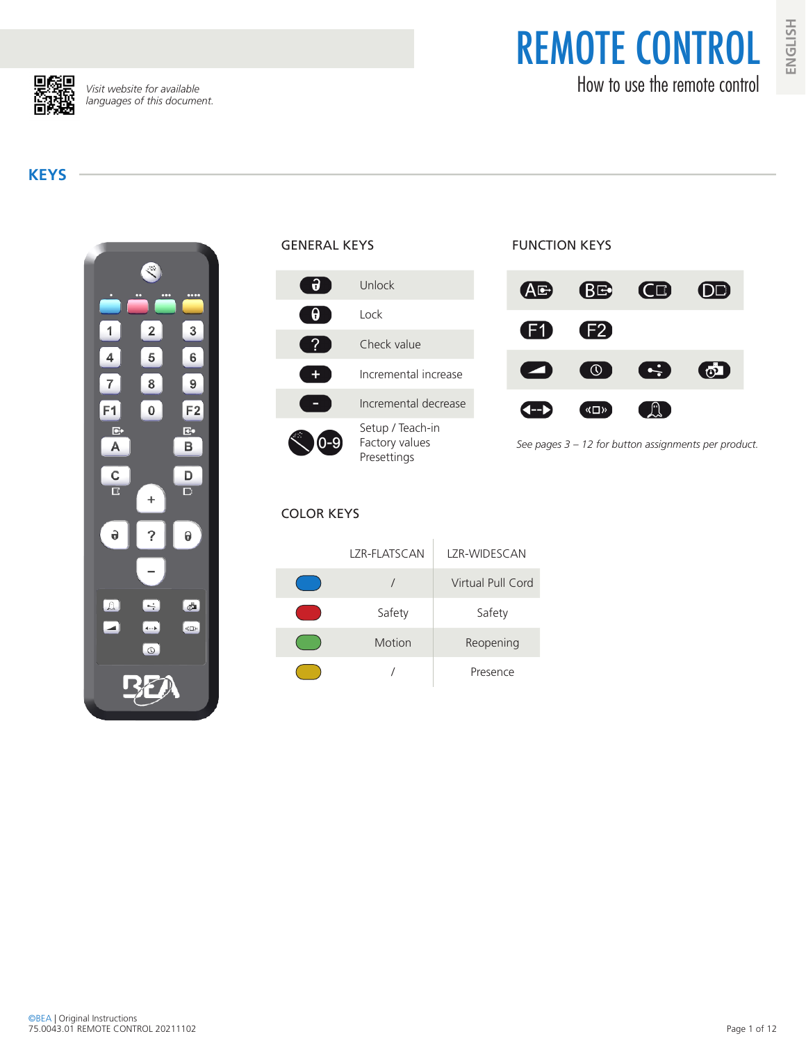REMOTE CONTROL How to use the remote control



*Visit website for available languages of this document.*

## **KEYS**





#### COLOR KEYS

# LZR-FLATSCAN LZR-WIDESCAN / Virtual Pull Cord Safety | Safety Motion Reopening / Presence

## FUNCTION KEYS



*See pages 3 – 12 for button assignments per product.*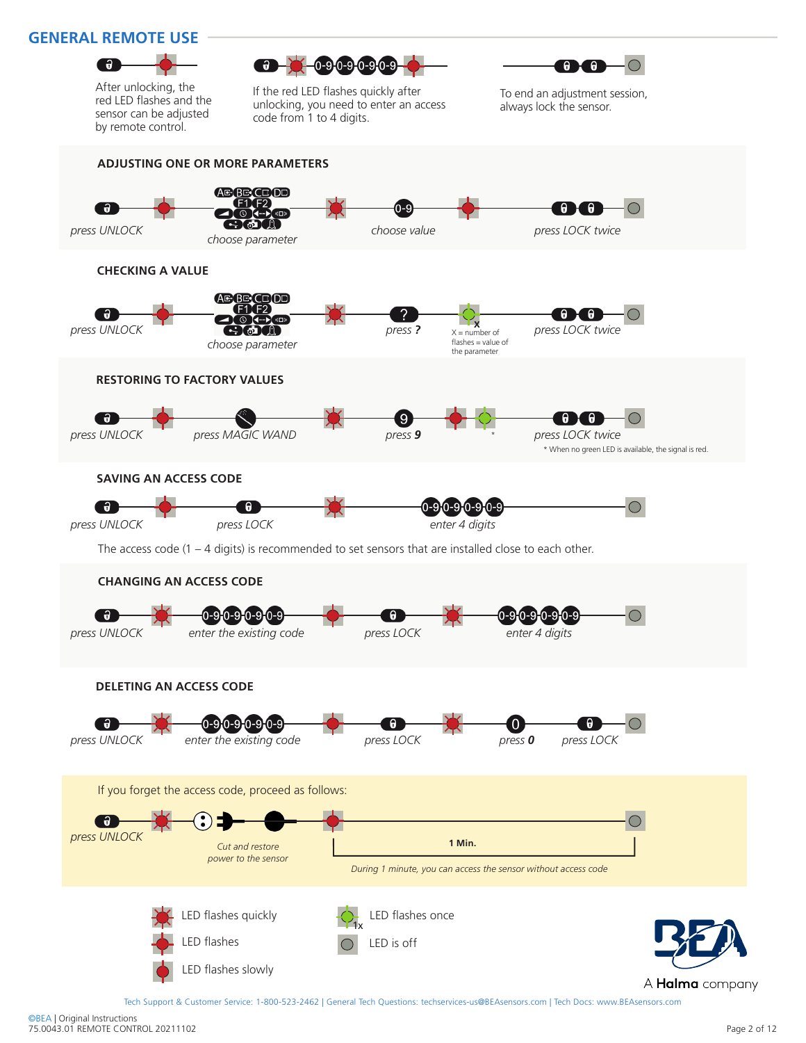#### **GENERAL REMOTE USE**



After unlocking, the red LED flashes and the sensor can be adjusted by remote control.





If the red LED flashes quickly after unlocking, you need to enter an access code from 1 to 4 digits.

To end an adjustment session, always lock the sensor.



Tech Support & Customer Service: 1-800-523-2462 | General Tech Questions: techservices-us@BEAsensors.com | Tech Docs: www.BEAsensors.com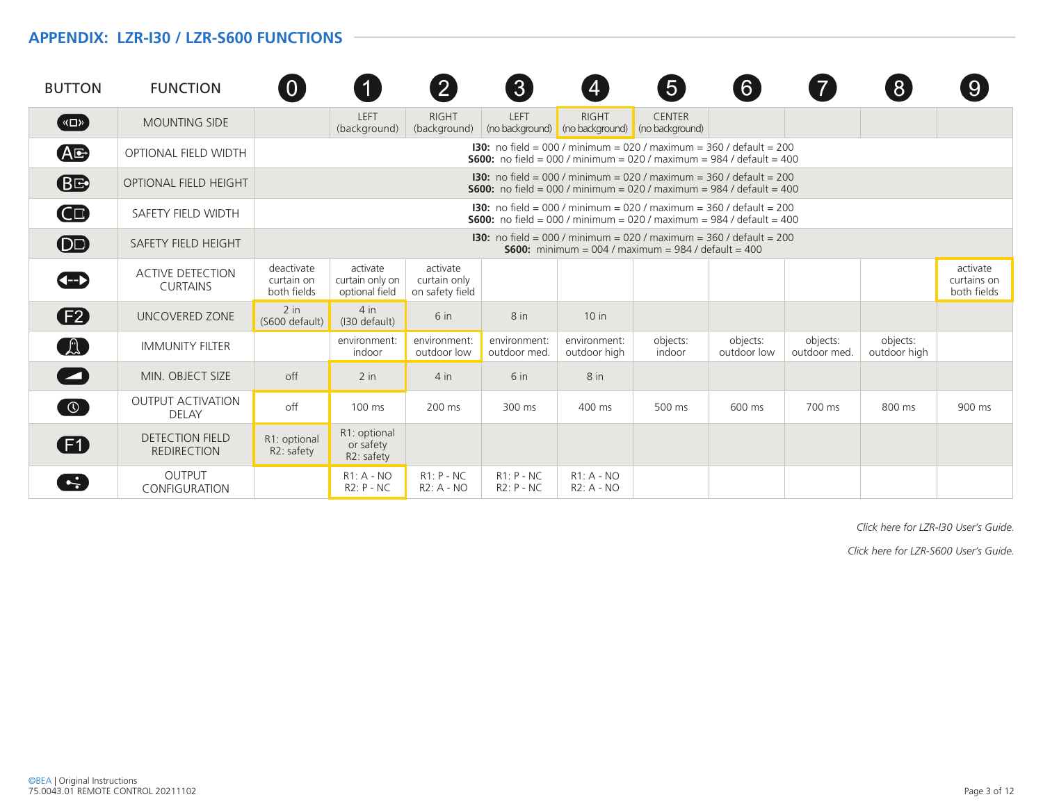#### **APPENDIX: LZR-I30 / LZR-S600 FUNCTIONS**

| <b>BUTTON</b>                          | <b>FUNCTION</b>                              | $\overline{0}$                          | 1                                                                                                                                                         | $\left[ 2 \right]$                          | $\mathbf{3}$                 | $\overline{4}$                                                                                                                                            | $\boxed{5}$                      | $6 \,$                  |                          | 8                        | 9                                      |  |
|----------------------------------------|----------------------------------------------|-----------------------------------------|-----------------------------------------------------------------------------------------------------------------------------------------------------------|---------------------------------------------|------------------------------|-----------------------------------------------------------------------------------------------------------------------------------------------------------|----------------------------------|-------------------------|--------------------------|--------------------------|----------------------------------------|--|
| $(\sqrt{2})$                           | <b>MOUNTING SIDE</b>                         |                                         | LEFT<br>(background)                                                                                                                                      | <b>RIGHT</b><br>(background)                | LEFT                         | <b>RIGHT</b><br>(no background) (no background)                                                                                                           | <b>CENTER</b><br>(no background) |                         |                          |                          |                                        |  |
| <b>AG</b>                              | OPTIONAL FIELD WIDTH                         |                                         |                                                                                                                                                           |                                             |                              | <b>130:</b> no field = 000 / minimum = 020 / maximum = 360 / default = 200<br><b>S600:</b> no field = 000 / minimum = 020 / maximum = 984 / default = 400 |                                  |                         |                          |                          |                                        |  |
| <b>BE</b>                              | <b>OPTIONAL FIELD HEIGHT</b>                 |                                         | <b>130:</b> no field = 000 / minimum = 020 / maximum = 360 / default = 200<br><b>S600:</b> no field = 000 / minimum = 020 / maximum = 984 / default = 400 |                                             |                              |                                                                                                                                                           |                                  |                         |                          |                          |                                        |  |
| $\mathbf \Omega$                       | SAFETY FIELD WIDTH                           |                                         |                                                                                                                                                           |                                             |                              | <b>130:</b> no field = 000 / minimum = 020 / maximum = 360 / default = 200<br><b>S600:</b> no field = 000 / minimum = 020 / maximum = 984 / default = 400 |                                  |                         |                          |                          |                                        |  |
| $\overline{OD}$                        | SAFETY FIELD HEIGHT                          |                                         | <b>130:</b> no field = 000 / minimum = 020 / maximum = 360 / default = 200<br><b>S600:</b> minimum = 004 / maximum = $984$ / default = 400                |                                             |                              |                                                                                                                                                           |                                  |                         |                          |                          |                                        |  |
| Œ                                      | <b>ACTIVE DETECTION</b><br><b>CURTAINS</b>   | deactivate<br>curtain on<br>both fields | activate<br>curtain only on<br>optional field                                                                                                             | activate<br>curtain only<br>on safety field |                              |                                                                                                                                                           |                                  |                         |                          |                          | activate<br>curtains on<br>both fields |  |
| $\mathbf{E}$                           | UNCOVERED ZONE                               | $2$ in<br>(S600 default)                | 4 in<br>(I30 default)                                                                                                                                     | 6 <sub>in</sub>                             | 8 <sub>in</sub>              | $10$ in                                                                                                                                                   |                                  |                         |                          |                          |                                        |  |
| $\begin{pmatrix} 1 \\ 2 \end{pmatrix}$ | <b>IMMUNITY FILTER</b>                       |                                         | environment:<br>indoor                                                                                                                                    | environment:<br>outdoor low                 | environment:<br>outdoor med. | environment:<br>outdoor high                                                                                                                              | objects:<br>indoor               | objects:<br>outdoor low | objects:<br>outdoor med. | objects:<br>outdoor high |                                        |  |
| $\blacktriangleright$                  | MIN. OBJECT SIZE                             | off                                     | $2$ in                                                                                                                                                    | $4$ in                                      | $6$ in                       | 8 in                                                                                                                                                      |                                  |                         |                          |                          |                                        |  |
| $\bigcirc$                             | <b>OUTPUT ACTIVATION</b><br><b>DELAY</b>     | off                                     | $100$ ms                                                                                                                                                  | 200 ms                                      | 300 ms                       | 400 ms                                                                                                                                                    | 500 ms                           | 600 ms                  | 700 ms                   | 800 ms                   | 900 ms                                 |  |
| ŒD                                     | <b>DETECTION FIELD</b><br><b>REDIRECTION</b> | R1: optional<br>R2: safety              | R1: optional<br>or safety<br>R2: safety                                                                                                                   |                                             |                              |                                                                                                                                                           |                                  |                         |                          |                          |                                        |  |
| $\left  \cdot \right $                 | <b>OUTPUT</b><br>CONFIGURATION               |                                         | $R1: A - NO$<br>$R2: P - NC$                                                                                                                              | $R1: P - NC$<br>R2: A - NO                  | $R1: P - NC$<br>$R2: P - NC$ | $R1: A - NO$<br>R2: A - NO                                                                                                                                |                                  |                         |                          |                          |                                        |  |

*Click here for LZR-I30 User's Guide.*

*Click here for LZR-S600 User's Guide.*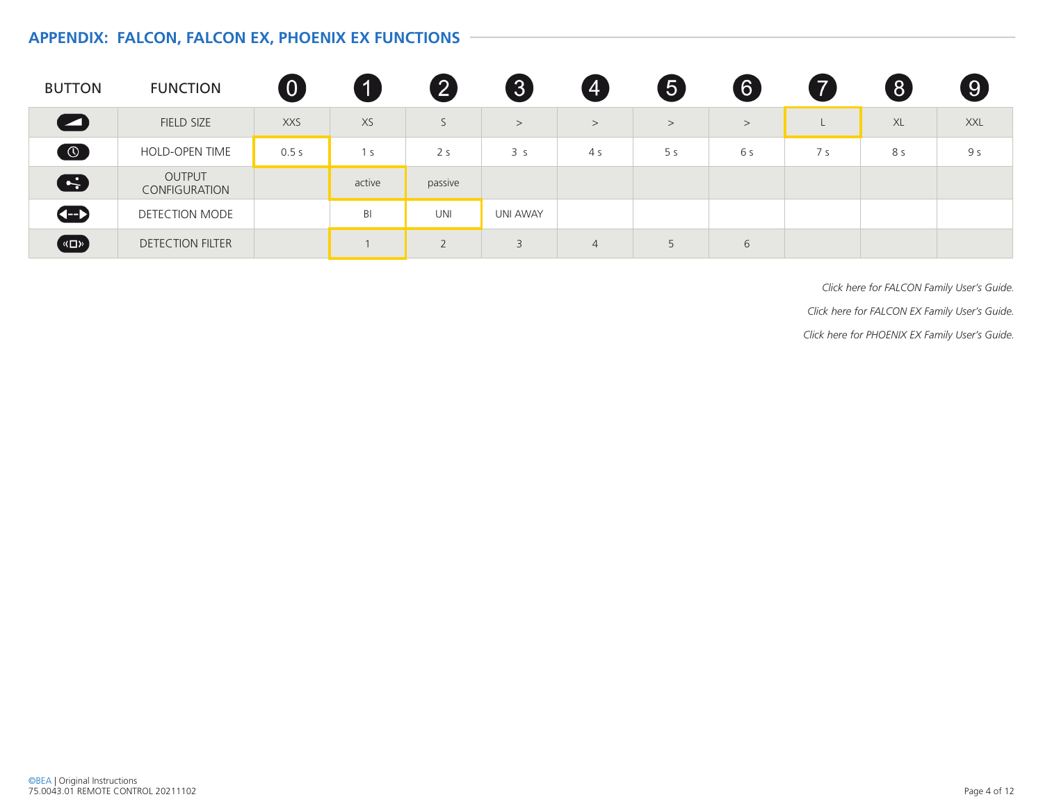### **APPENDIX: FALCON, FALCON EX, PHOENIX EX FUNCTIONS**

| <b>BUTTON</b>       | <b>FUNCTION</b>                | $\boldsymbol{0}$ | 11     | 2                       | $\boxed{3}$    | $\overline{A}$ | 6              | 6     | 7   | $\left[ 8\right]$ | $\left[9\right]$ |
|---------------------|--------------------------------|------------------|--------|-------------------------|----------------|----------------|----------------|-------|-----|-------------------|------------------|
| $\bullet$           | FIELD SIZE                     | <b>XXS</b>       | XS     |                         | >              | >              | >              | $\,>$ |     | XL                | <b>XXL</b>       |
| $\odot$             | HOLD-OPEN TIME                 | 0.5s             | 1 s    | 2 <sub>s</sub>          | 3 <sub>s</sub> | 4 s            | 5 <sub>s</sub> | 6 s   | 7 s | 8 s               | 9 s              |
| 6                   | <b>OUTPUT</b><br>CONFIGURATION |                  | active | passive                 |                |                |                |       |     |                   |                  |
| $\bigoplus$         | DETECTION MODE                 |                  | BI     | UNI                     | UNI AWAY       |                |                |       |     |                   |                  |
| $\left(\frac{1}{2}$ | <b>DETECTION FILTER</b>        |                  |        | $\bigcap$<br>$\sqrt{2}$ | 3              | $\overline{4}$ | 5              | 6     |     |                   |                  |

*Click here for FALCON Family User's Guide. Click here for FALCON EX Family User's Guide. Click here for PHOENIX EX Family User's Guide.*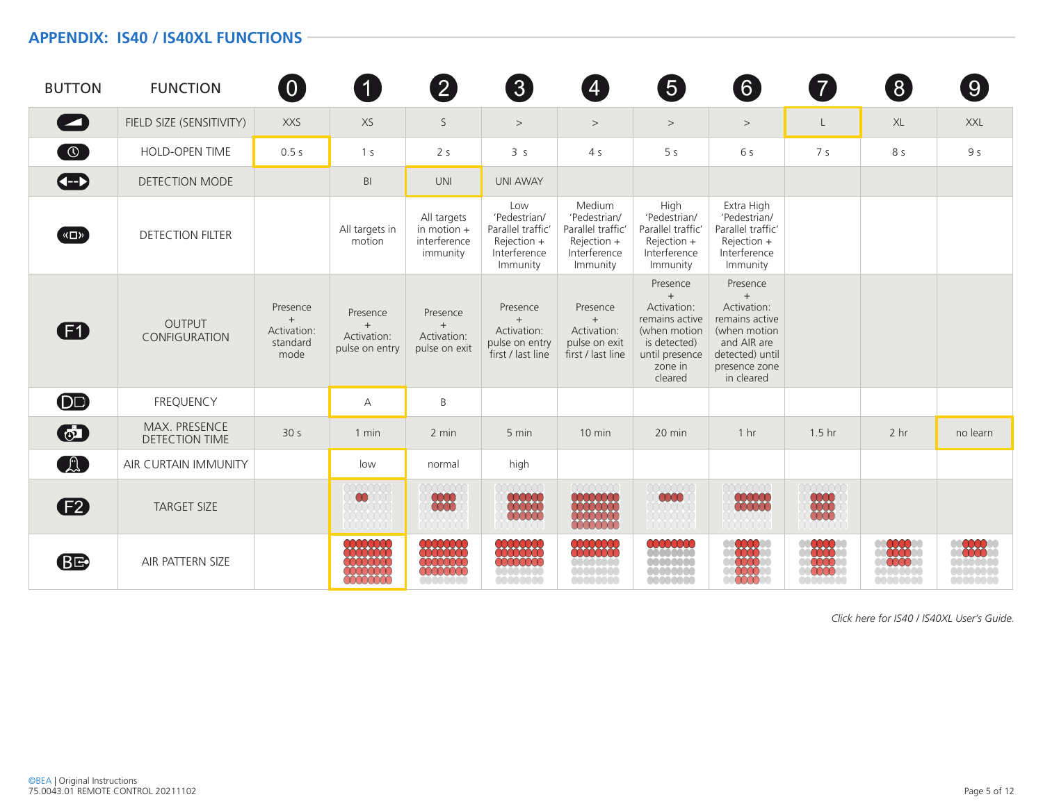#### **APPENDIX: IS40 / IS40XL FUNCTIONS**

| <b>BUTTON</b>  | <b>FUNCTION</b>                        | $\left( 0\right)$                                  | 0                                                | $\boxed{2}$                                                                                    | $\bm{3}$                                                                            | $\overline{4}$                                                                         | $\boxed{5}$                                                                                                              | $\left[ 6\right]$                                                                                                                    | 7)                | $\left( 8\right)$ | $\boxed{9}$    |
|----------------|----------------------------------------|----------------------------------------------------|--------------------------------------------------|------------------------------------------------------------------------------------------------|-------------------------------------------------------------------------------------|----------------------------------------------------------------------------------------|--------------------------------------------------------------------------------------------------------------------------|--------------------------------------------------------------------------------------------------------------------------------------|-------------------|-------------------|----------------|
| $\blacksquare$ | FIELD SIZE (SENSITIVITY)               | <b>XXS</b>                                         | XS                                               | S                                                                                              | $\,>$                                                                               | $\,>$                                                                                  | >                                                                                                                        | $\,>$                                                                                                                                | L                 | XL                | <b>XXL</b>     |
| $\bigcirc$     | HOLD-OPEN TIME                         | 0.5s                                               | 1 <sub>s</sub>                                   | 2 <sub>s</sub>                                                                                 | 3 <sub>s</sub>                                                                      | 4 <sub>5</sub>                                                                         | 5 <sub>s</sub>                                                                                                           | 6 s                                                                                                                                  | 7 <sub>s</sub>    | 8 s               | 9 <sub>s</sub> |
| $\bigoplus$    | <b>DETECTION MODE</b>                  |                                                    | B <sub>l</sub>                                   | <b>UNI</b>                                                                                     | <b>UNI AWAY</b>                                                                     |                                                                                        |                                                                                                                          |                                                                                                                                      |                   |                   |                |
| <b>KO</b>      | <b>DETECTION FILTER</b>                |                                                    | All targets in<br>motion                         | All targets<br>in motion $+$<br>interference<br>immunity                                       | Low<br>'Pedestrian/<br>Parallel traffic'<br>Rejection +<br>Interference<br>Immunity | Medium<br>'Pedestrian/<br>Parallel traffic'<br>Rejection +<br>Interference<br>Immunity | High<br>'Pedestrian/<br>Parallel traffic'<br>$Rejection +$<br>Interference<br>Immunity                                   | Extra High<br>'Pedestrian/<br>Parallel traffic'<br>Rejection +<br>Interference<br>Immunity                                           |                   |                   |                |
| Ð              | <b>OUTPUT</b><br>CONFIGURATION         | Presence<br>$+$<br>Activation:<br>standard<br>mode | Presence<br>$+$<br>Activation:<br>pulse on entry | Presence<br>$+$<br>Activation:<br>pulse on exit                                                | Presence<br>$+$<br>Activation:<br>pulse on entry<br>first / last line               | Presence<br>$+$<br>Activation:<br>pulse on exit<br>first / last line                   | Presence<br>$+$<br>Activation:<br>remains active<br>(when motion<br>is detected)<br>until presence<br>zone in<br>cleared | Presence<br>$^{+}$<br>Activation:<br>remains active<br>(when motion<br>and AIR are<br>detected) until<br>presence zone<br>in cleared |                   |                   |                |
| $\bf{O}$       | <b>FREQUENCY</b>                       |                                                    | А                                                | B                                                                                              |                                                                                     |                                                                                        |                                                                                                                          |                                                                                                                                      |                   |                   |                |
| $\odot$        | MAX. PRESENCE<br><b>DETECTION TIME</b> | 30 <sub>s</sub>                                    | 1 min                                            | 2 min                                                                                          | 5 min                                                                               | 10 min                                                                                 | 20 min                                                                                                                   | 1 <sub>hr</sub>                                                                                                                      | 1.5 <sub>hr</sub> | 2 hr              | no learn       |
| A              | AIR CURTAIN IMMUNITY                   |                                                    | low                                              | normal                                                                                         | high                                                                                |                                                                                        |                                                                                                                          |                                                                                                                                      |                   |                   |                |
| $\mathbf{E}$   | <b>TARGET SIZE</b>                     |                                                    | $\infty$                                         | <b>0000</b><br>0000                                                                            |                                                                                     | mm                                                                                     |                                                                                                                          |                                                                                                                                      |                   |                   |                |
| <b>BE</b>      | AIR PATTERN SIZE                       |                                                    | 000000<br>******<br>₩₩<br>8888                   | $\begin{smallmatrix} \star\star\star\star\star\star\star \end{smallmatrix}$<br><del>4444</del> | *******<br><b>10001</b><br>0000000                                                  | <b>oooooo</b>                                                                          |                                                                                                                          |                                                                                                                                      |                   |                   |                |

*Click here for IS40 / IS40XL User's Guide.*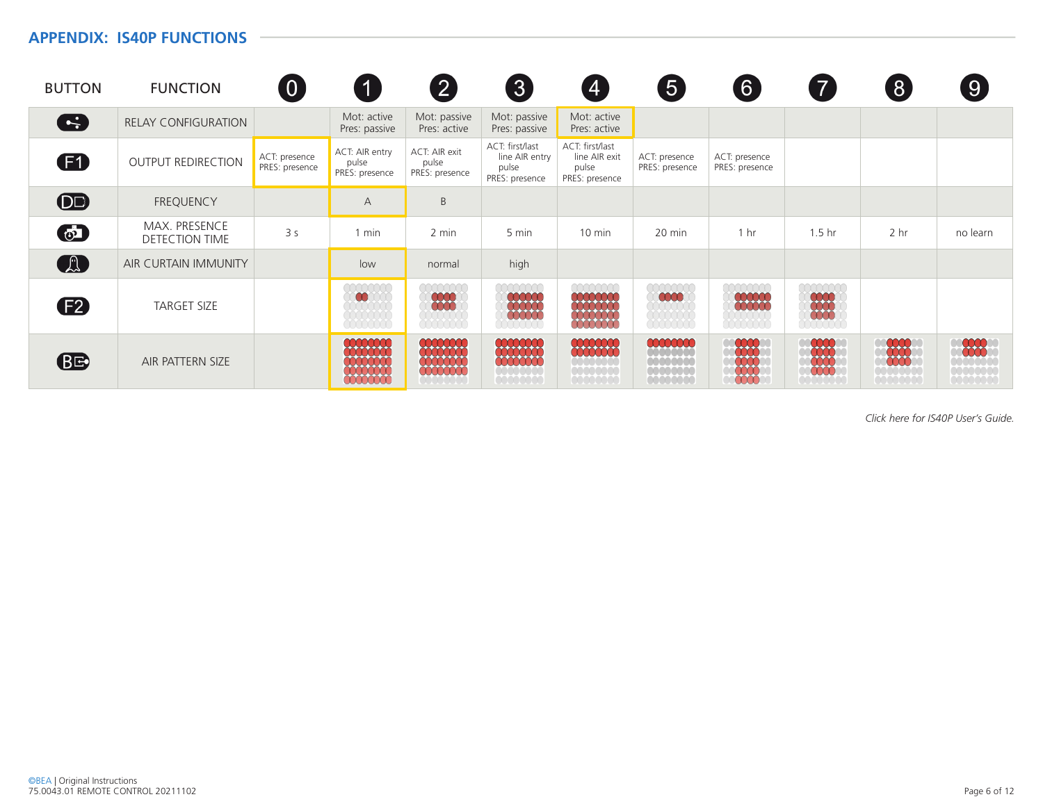#### **APPENDIX: IS40P FUNCTIONS**

| <b>BUTTON</b> | <b>FUNCTION</b>                               | $\overline{0}$                  | $\mathbf 1$                                                                                                                              | $\boxed{2}$                                       | $\left 3\right\rangle$                                       | $\vert 4 \vert$                                             | 5                                                        | $\boxed{6}$                     | $\overline{7}$       | $\left[ 8 \right]$                 | $\boxed{9}$                         |
|---------------|-----------------------------------------------|---------------------------------|------------------------------------------------------------------------------------------------------------------------------------------|---------------------------------------------------|--------------------------------------------------------------|-------------------------------------------------------------|----------------------------------------------------------|---------------------------------|----------------------|------------------------------------|-------------------------------------|
| G             | <b>RELAY CONFIGURATION</b>                    |                                 | Mot: active<br>Pres: passive                                                                                                             | Mot: passive<br>Pres: active                      | Mot: passive<br>Pres: passive                                | Mot: active<br>Pres: active                                 |                                                          |                                 |                      |                                    |                                     |
| $\mathbf{F}$  | <b>OUTPUT REDIRECTION</b>                     | ACT: presence<br>PRES: presence | ACT: AIR entry<br>pulse<br>PRES: presence                                                                                                | ACT: AIR exit<br>pulse<br>PRES: presence          | ACT: first/last<br>line AIR entry<br>pulse<br>PRES: presence | ACT: first/last<br>line AIR exit<br>pulse<br>PRES: presence | ACT: presence<br>PRES: presence                          | ACT: presence<br>PRES: presence |                      |                                    |                                     |
| <b>DD</b>     | <b>FREQUENCY</b>                              |                                 | A                                                                                                                                        | B                                                 |                                                              |                                                             |                                                          |                                 |                      |                                    |                                     |
| $\odot$       | <b>MAX. PRESENCE</b><br><b>DETECTION TIME</b> | 3 <sub>s</sub>                  | $1$ min                                                                                                                                  | 2 min                                             | 5 min                                                        | $10 \text{ min}$                                            | 20 min                                                   | 1 <sub>hr</sub>                 | 1.5 <sub>hr</sub>    | 2 <sub>hr</sub>                    | no learn                            |
| A             | <b>AIR CURTAIN IMMUNITY</b>                   |                                 | low                                                                                                                                      | normal                                            | high                                                         |                                                             |                                                          |                                 |                      |                                    |                                     |
| <b>F2</b>     | <b>TARGET SIZE</b>                            |                                 | $\mathbf{a}$                                                                                                                             | 88                                                |                                                              | tititit                                                     | 0000                                                     | <b>COOOC</b>                    | 0000<br>0000<br>0000 |                                    |                                     |
| <b>BE</b>     | AIR PATTERN SIZE                              |                                 | <b>00000000</b><br>$\begin{array}{ccc}\n\begin{array}{c}\n\downarrow \\ \downarrow \\ \downarrow\n\end{array}$<br>******<br><b>HIIII</b> | <b>COOCCOO</b><br>******<br><b>ANTI 1999</b><br>. | <b>COOCCOOC</b><br>******<br><b></b><br><u>Julian Julia</u>  | .<br>1000000<br><b>AAAAAAA</b><br><u>a da da da da</u>      | -----<br><b>*******</b><br><u>Julianus C</u><br>00000000 |                                 |                      | <b>.</b><br><u>Julian State Co</u> | -----<br>*******<br><u>Julian L</u> |

*Click here for IS40P User's Guide.*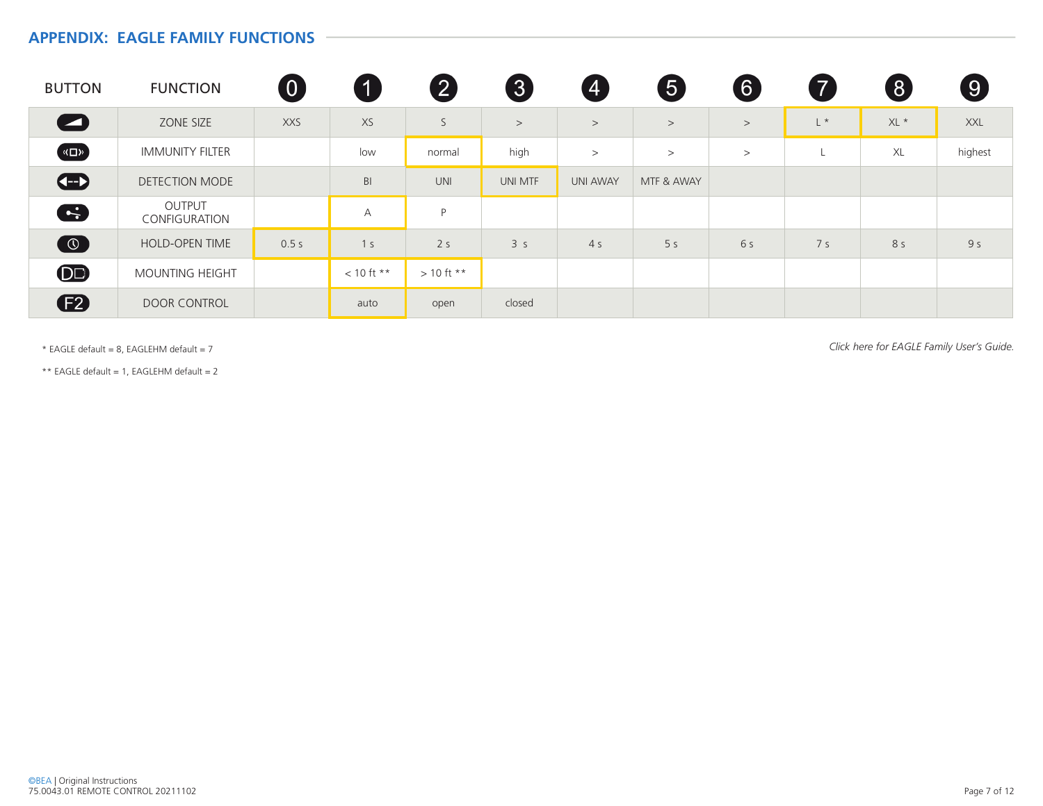#### **APPENDIX: EAGLE FAMILY FUNCTIONS**

| <b>BUTTON</b>                | <b>FUNCTION</b>         | $\boldsymbol{0}$ |                | $\bullet$      | $\boxed{3}$    | $\overline{A}$  | 6              | 6     |                | $\left( 8\right)$ | $\left(9\right)$ |
|------------------------------|-------------------------|------------------|----------------|----------------|----------------|-----------------|----------------|-------|----------------|-------------------|------------------|
| $\bullet$                    | ZONE SIZE               | <b>XXS</b>       | XS             | S              | >              | >               | >              | $\,>$ | $L^*$          | XL *              | XXL              |
| $\left( \frac{1}{2} \right)$ | <b>IMMUNITY FILTER</b>  |                  | low            | normal         | high           | >               | >              | $\,>$ | Ч.             | XL                | highest          |
| $\bigoplus$                  | <b>DETECTION MODE</b>   |                  | B <sub>l</sub> | <b>UNI</b>     | UNI MTF        | <b>UNI AWAY</b> | MTF & AWAY     |       |                |                   |                  |
| G                            | OUTPUT<br>CONFIGURATION |                  | $\overline{A}$ | P              |                |                 |                |       |                |                   |                  |
| $\odot$                      | <b>HOLD-OPEN TIME</b>   | 0.5s             | 1 <sub>s</sub> | 2 <sub>s</sub> | 3 <sub>s</sub> | 4 <sub>5</sub>  | 5 <sub>s</sub> | 6 s   | 7 <sub>s</sub> | 8 s               | 9 <sub>5</sub>   |
| $\bf{O}$                     | MOUNTING HEIGHT         |                  | $< 10$ ft **   | $> 10$ ft **   |                |                 |                |       |                |                   |                  |
| <b>E2</b>                    | <b>DOOR CONTROL</b>     |                  | auto           | open           | closed         |                 |                |       |                |                   |                  |

\* EAGLE default = 8, EAGLEHM default = 7 *Click here for EAGLE Family User's Guide.*

\*\* EAGLE default = 1, EAGLEHM default = 2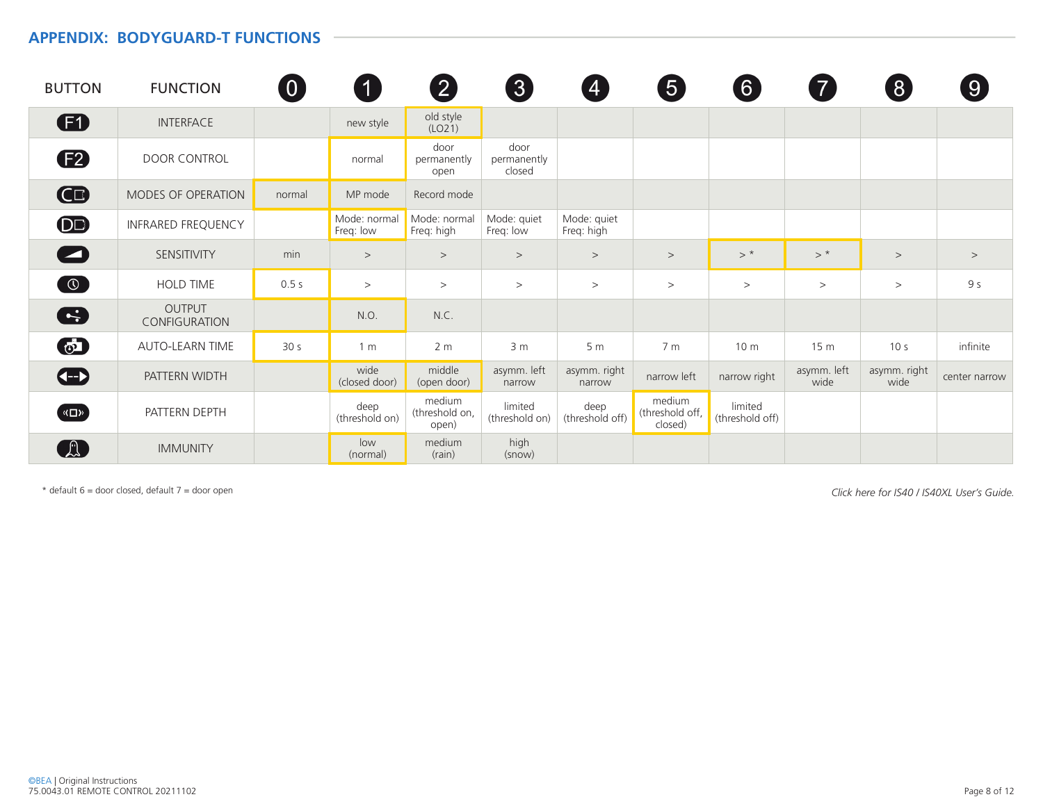#### **APPENDIX: BODYGUARD-T FUNCTIONS**

| <b>BUTTON</b>          | <b>FUNCTION</b>                | $\overline{0}$  |                           | $\left[ 2 \right]$                | 3                             | $\bf 4$                   | 5                                    | $\boxed{6}$                |                     | $\mathcal{S}$        | $\left[9\right]$ |
|------------------------|--------------------------------|-----------------|---------------------------|-----------------------------------|-------------------------------|---------------------------|--------------------------------------|----------------------------|---------------------|----------------------|------------------|
| $\mathbf \Omega$       | <b>INTERFACE</b>               |                 | new style                 | old style<br>(LO21)               |                               |                           |                                      |                            |                     |                      |                  |
| (F2)                   | DOOR CONTROL                   |                 | normal                    | door<br>permanently<br>open       | door<br>permanently<br>closed |                           |                                      |                            |                     |                      |                  |
| $\mathbf \mathbf G$    | <b>MODES OF OPERATION</b>      | normal          | MP mode                   | Record mode                       |                               |                           |                                      |                            |                     |                      |                  |
| $\overline{\text{OD}}$ | <b>INFRARED FREQUENCY</b>      |                 | Mode: normal<br>Freq: low | Mode: normal<br>Freq: high        | Mode: quiet<br>Freq: low      | Mode: quiet<br>Freq: high |                                      |                            |                     |                      |                  |
|                        | SENSITIVITY                    | min             | $\,>$                     | $\,>$                             | $\,>$                         | $\,>$                     | $\,>$                                | $>$ *                      | $>$ *               | $\,>$                | $\,>$            |
| $\bigcirc$             | HOLD TIME                      | 0.5s            | >                         | $\,>$                             | $\,>$                         | >                         | >                                    | >                          | >                   | >                    | 9 <sub>5</sub>   |
| G                      | <b>OUTPUT</b><br>CONFIGURATION |                 | N.O.                      | N.C.                              |                               |                           |                                      |                            |                     |                      |                  |
| $\odot$                | <b>AUTO-LEARN TIME</b>         | 30 <sub>s</sub> | 1 <sub>m</sub>            | 2 <sub>m</sub>                    | 3 <sub>m</sub>                | 5 <sub>m</sub>            | 7 <sub>m</sub>                       | 10 <sub>m</sub>            | 15 <sub>m</sub>     | 10 <sub>s</sub>      | infinite         |
| $\bigoplus$            | PATTERN WIDTH                  |                 | wide<br>(closed door)     | middle<br>(open door)             | asymm. left<br>narrow         | asymm. right<br>narrow    | narrow left                          | narrow right               | asymm. left<br>wide | asymm. right<br>wide | center narrow    |
| ( «□»)                 | PATTERN DEPTH                  |                 | deep<br>(threshold on)    | medium<br>(threshold on,<br>open) | limited<br>(threshold on)     | deep<br>(threshold off)   | medium<br>(threshold off,<br>closed) | limited<br>(threshold off) |                     |                      |                  |
|                        | <b>IMMUNITY</b>                |                 | low<br>(normal)           | medium<br>(rain)                  | high<br>(snow)                |                           |                                      |                            |                     |                      |                  |

*Click here for IS40 / IS40XL User's Guide.* \* default 6 = door closed, default 7 = door open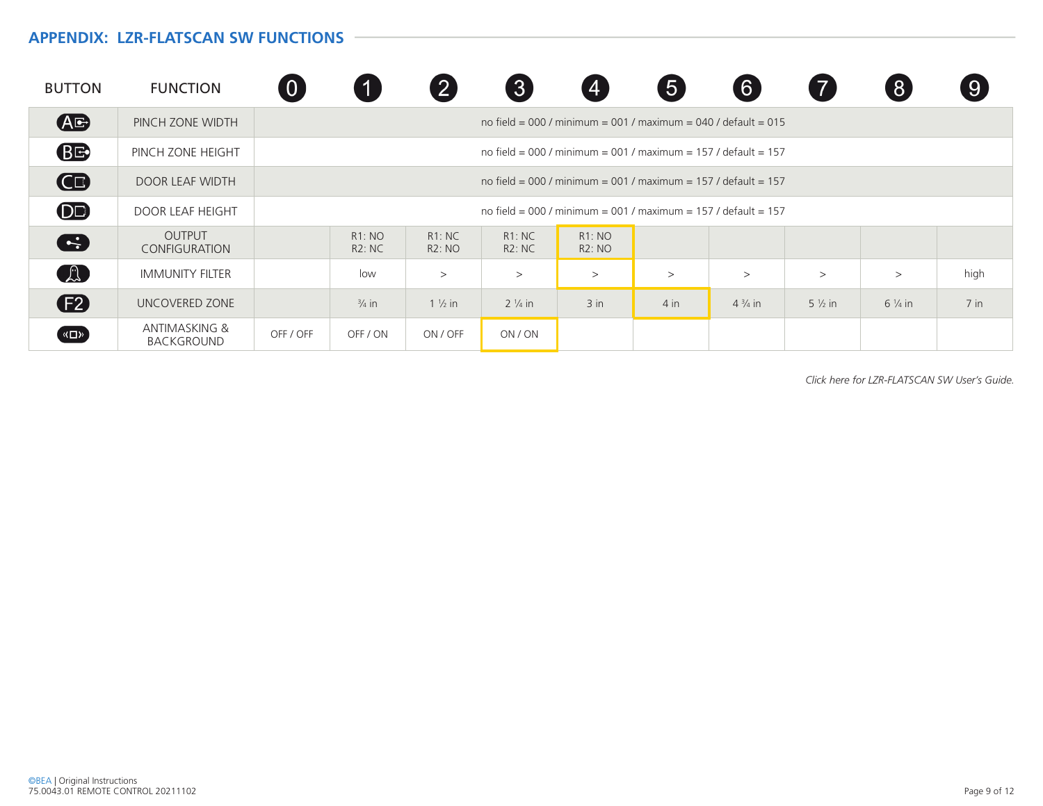#### **APPENDIX: LZR-FLATSCAN SW FUNCTIONS**

| <b>BUTTON</b> | <b>FUNCTION</b>                               | $\overline{0}$ |                        |                        | 3                                                              |                        | 5      | $6 \overline{6}$  |                   | $\left[ 8 \right]$ | $\left( 9\right)$ |
|---------------|-----------------------------------------------|----------------|------------------------|------------------------|----------------------------------------------------------------|------------------------|--------|-------------------|-------------------|--------------------|-------------------|
| <b>AG</b>     | PINCH ZONE WIDTH                              |                |                        |                        | no field = 000 / minimum = 001 / maximum = 040 / default = 015 |                        |        |                   |                   |                    |                   |
| <b>BE</b>     | PINCH ZONE HEIGHT                             |                |                        |                        | no field = 000 / minimum = 001 / maximum = 157 / default = 157 |                        |        |                   |                   |                    |                   |
| GB            | DOOR LEAF WIDTH                               |                |                        |                        | no field = 000 / minimum = 001 / maximum = 157 / default = 157 |                        |        |                   |                   |                    |                   |
| <b>DE</b>     | <b>DOOR LEAF HEIGHT</b>                       |                |                        |                        | no field = 000 / minimum = 001 / maximum = 157 / default = 157 |                        |        |                   |                   |                    |                   |
| S             | <b>OUTPUT</b><br><b>CONFIGURATION</b>         |                | <b>R1: NO</b><br>R2:NC | R1:NC<br><b>R2: NO</b> | R1:NC<br><b>R2: NC</b>                                         | R1:NO<br><b>R2: NO</b> |        |                   |                   |                    |                   |
| A             | <b>IMMUNITY FILTER</b>                        |                | low                    | $\,>$                  | $\rm{>}$                                                       | >                      | >      | >                 | >                 | >                  | high              |
| (F2)          | UNCOVERED ZONE                                |                | $\frac{3}{4}$ in       | $1\frac{1}{2}$ in      | $2\frac{1}{4}$ in                                              | $3$ in                 | $4$ in | $4\frac{3}{4}$ in | $5\frac{1}{2}$ in | $6\frac{1}{4}$ in  | $7$ in            |
| («□»          | <b>ANTIMASKING &amp;</b><br><b>BACKGROUND</b> | OFF / OFF      | OFF / ON               | ON / OFF               | ON / ON                                                        |                        |        |                   |                   |                    |                   |

*Click here for LZR-FLATSCAN SW User's Guide.*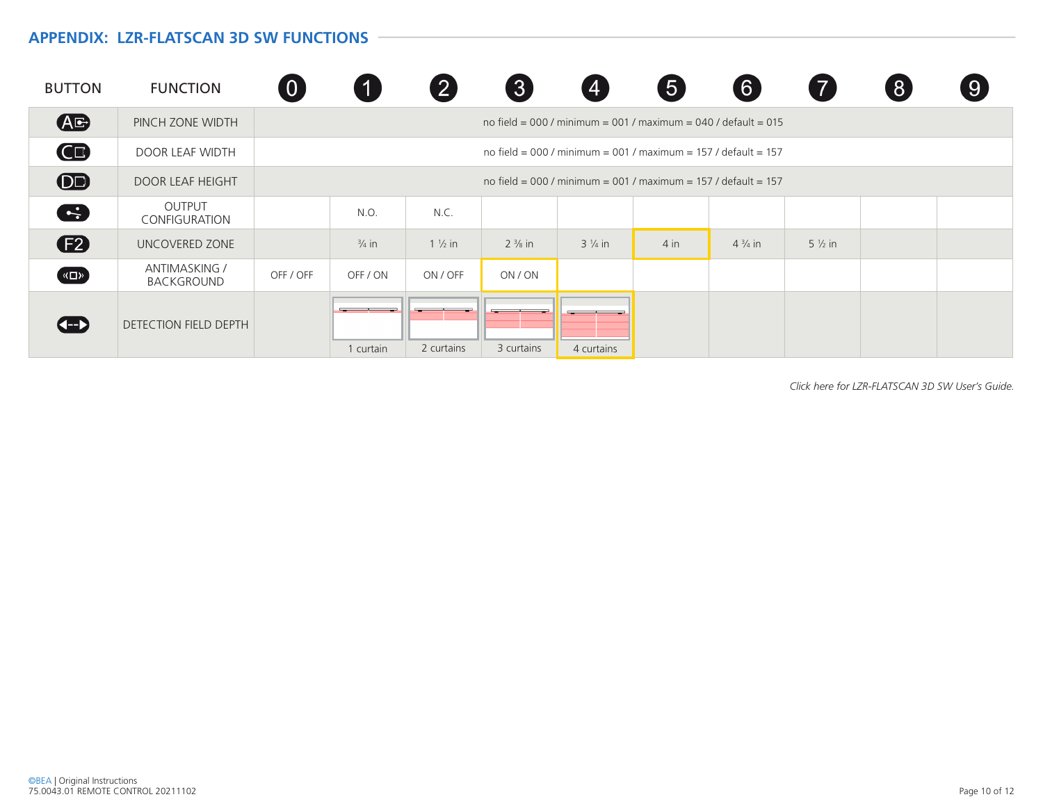## **APPENDIX: LZR-FLATSCAN 3D SW FUNCTIONS**

| <b>BUTTON</b>    | <b>FUNCTION</b>                | 0         |                  | $\mathbf{2}$      | 8                 | $\boldsymbol{4}$                                               | 5      | 6 <sup>1</sup>    |                   | 8 | $\boxed{9}$ |
|------------------|--------------------------------|-----------|------------------|-------------------|-------------------|----------------------------------------------------------------|--------|-------------------|-------------------|---|-------------|
| <b>AG</b>        | PINCH ZONE WIDTH               |           |                  |                   |                   | no field = 000 / minimum = 001 / maximum = 040 / default = 015 |        |                   |                   |   |             |
| Œ                | <b>DOOR LEAF WIDTH</b>         |           |                  |                   |                   | no field = 000 / minimum = 001 / maximum = 157 / default = 157 |        |                   |                   |   |             |
| $\bigcirc$       | <b>DOOR LEAF HEIGHT</b>        |           |                  |                   |                   | no field = 000 / minimum = 001 / maximum = 157 / default = 157 |        |                   |                   |   |             |
| C.               | OUTPUT<br><b>CONFIGURATION</b> |           | N.O.             | N.C.              |                   |                                                                |        |                   |                   |   |             |
| (F2)             | UNCOVERED ZONE                 |           | $\frac{3}{4}$ in | $1\frac{1}{2}$ in | $2\frac{3}{8}$ in | $3\frac{1}{4}$ in                                              | $4$ in | $4\frac{3}{4}$ in | $5\frac{1}{2}$ in |   |             |
| $\left(\sqrt{2}$ | ANTIMASKING /<br>BACKGROUND    | OFF / OFF | OFF / ON         | ON / OFF          | ON / ON           |                                                                |        |                   |                   |   |             |
| <b>KH</b>        | DETECTION FIELD DEPTH          |           | 1 curtain        | 2 curtains        | 3 curtains        | 4 curtains                                                     |        |                   |                   |   |             |

*Click here for LZR-FLATSCAN 3D SW User's Guide.*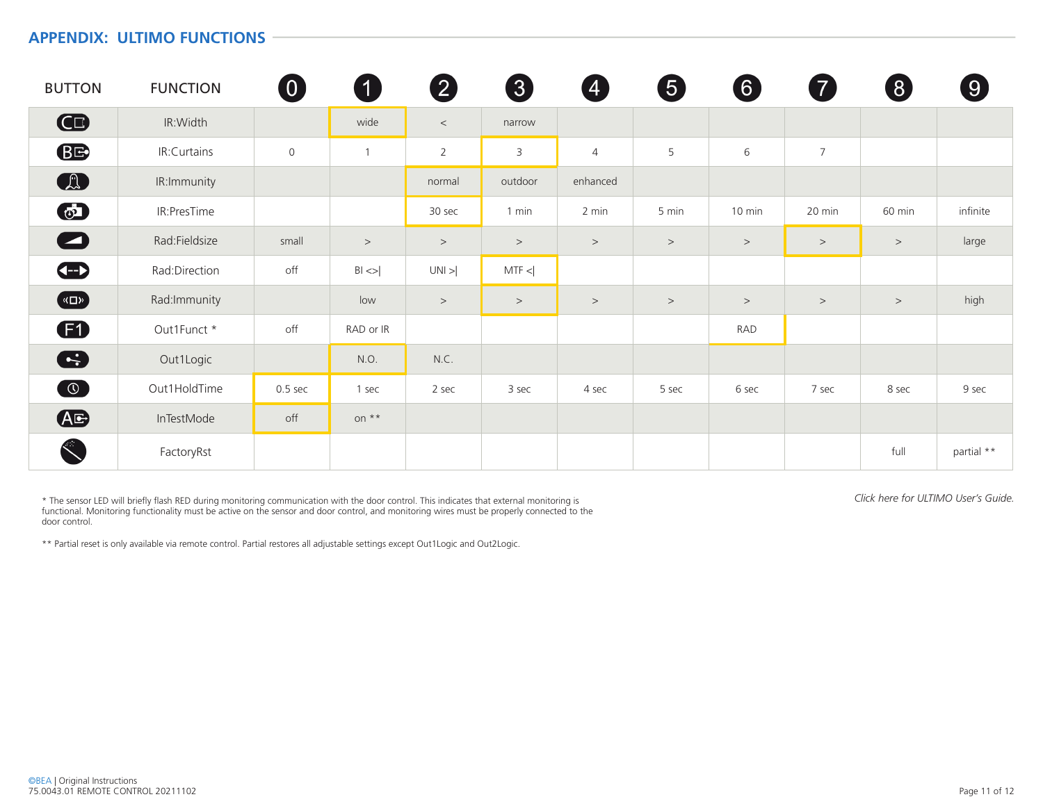### **APPENDIX: ULTIMO FUNCTIONS**

| <b>BUTTON</b>                | <b>FUNCTION</b> | $\boldsymbol{0}$ | $\blacksquare$ | $\boldsymbol{2}$ | 3            | 4              | 5     | 6      | 7              | 8      | 9          |
|------------------------------|-----------------|------------------|----------------|------------------|--------------|----------------|-------|--------|----------------|--------|------------|
| $\mathbf \Omega$             | IR:Width        |                  | wide           | $\,<$            | narrow       |                |       |        |                |        |            |
| <b>BE</b>                    | IR:Curtains     | $\mathsf{O}$     |                | $\overline{2}$   | $\mathsf{3}$ | $\overline{4}$ | 5     | 6      | $\overline{7}$ |        |            |
| $\bigcirc$                   | IR:Immunity     |                  |                | normal           | outdoor      | enhanced       |       |        |                |        |            |
| $\odot$                      | IR:PresTime     |                  |                | 30 sec           | 1 min        | 2 min          | 5 min | 10 min | 20 min         | 60 min | infinite   |
| $\bullet$                    | Rad:Fieldsize   | small            | $\,>$          | $\,>$            | $\,>$        | $\,>$          | $\,>$ | $\,>$  | $\,>$          | $\,>$  | large      |
| $\bigoplus$                  | Rad:Direction   | off              | $B  \ll  $     | UNI >            | MTF <        |                |       |        |                |        |            |
| $\left( \frac{1}{2} \right)$ | Rad: Immunity   |                  | low            | $\,>$            | $\,>$        | $\,>$          | $\,>$ | $\,>$  | $\,>$          | $\,>$  | high       |
| Ð                            | Out1Funct *     | off              | RAD or IR      |                  |              |                |       | RAD    |                |        |            |
| 8                            | Out1Logic       |                  | N.O.           | N.C.             |              |                |       |        |                |        |            |
| $\odot$                      | Out1HoldTime    | $0.5$ sec        | 1 sec          | 2 sec            | 3 sec        | 4 sec          | 5 sec | 6 sec  | 7 sec          | 8 sec  | 9 sec      |
| Æ                            | InTestMode      | off              | on $**$        |                  |              |                |       |        |                |        |            |
| S                            | FactoryRst      |                  |                |                  |              |                |       |        |                | full   | partial ** |

\* The sensor LED will briefly flash RED during monitoring communication with the door control. This indicates that external monitoring is *Click here for ULTIMO User's Guide.* functional. Monitoring functionality must be active on the sensor and door control, and monitoring wires must be properly connected to the door control.

\*\* Partial reset is only available via remote control. Partial restores all adjustable settings except Out1Logic and Out2Logic.